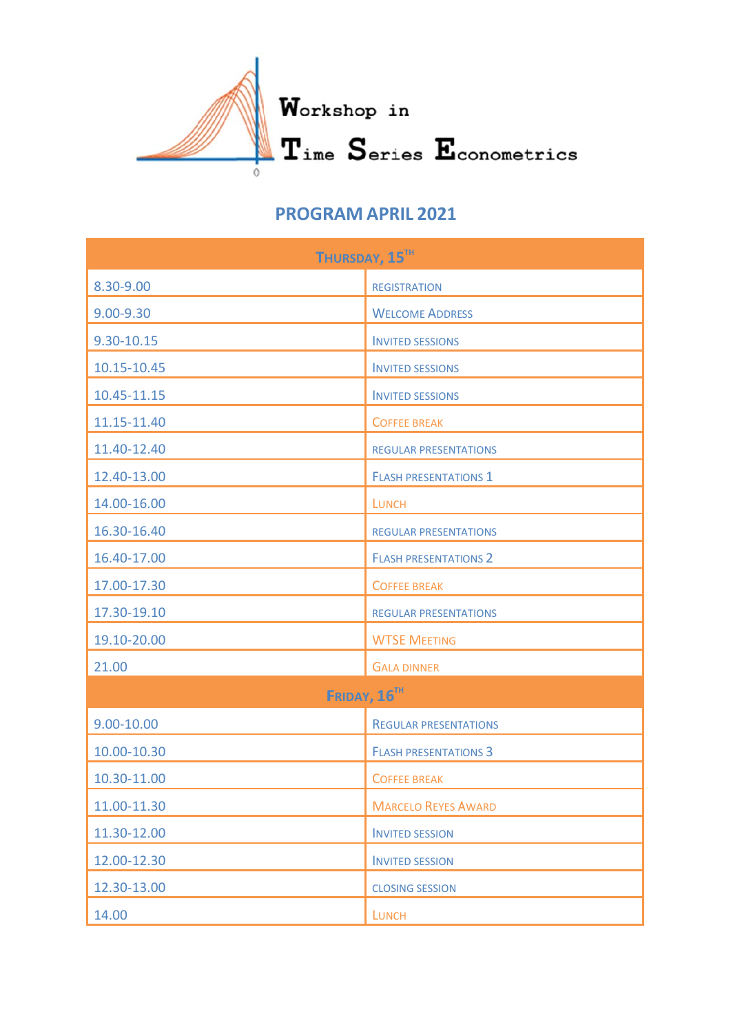

## **PROGR AM APR RIL 2021**

| THURSDAY, 15 <sup>TH</sup> |                              |  |
|----------------------------|------------------------------|--|
| 8.30-9.00                  | <b>REGISTRATION</b>          |  |
| 9.00-9.30                  | <b>WELCOME ADDRESS</b>       |  |
| 9.30-10.15                 | <b>INVITED SESSIONS</b>      |  |
| 10.15-10.45                | <b>INVITED SESSIONS</b>      |  |
| 10.45-11.15                | <b>INVITED SESSIONS</b>      |  |
| 11.15-11.40                | <b>COFFEE BREAK</b>          |  |
| 11.40-12.40                | <b>REGULAR PRESENTATIONS</b> |  |
| 12.40-13.00                | <b>FLASH PRESENTATIONS 1</b> |  |
| 14.00-16.00                | <b>LUNCH</b>                 |  |
| 16.30-16.40                | <b>REGULAR PRESENTATIONS</b> |  |
| 16.40-17.00                | <b>FLASH PRESENTATIONS 2</b> |  |
| 17.00-17.30                | <b>COFFEE BREAK</b>          |  |
| 17.30-19.10                | <b>REGULAR PRESENTATIONS</b> |  |
| 19.10-20.00                | <b>WTSE MEETING</b>          |  |
| 21.00                      | <b>GALA DINNER</b>           |  |
| FRIDAY, 16 <sup>TH</sup>   |                              |  |
| 9.00-10.00                 | <b>REGULAR PRESENTATIONS</b> |  |
| 10.00-10.30                | <b>FLASH PRESENTATIONS 3</b> |  |
| 10.30-11.00                | <b>COFFEE BREAK</b>          |  |
| 11.00-11.30                | <b>MARCELO REYES AWARD</b>   |  |
| 11.30-12.00                | <b>INVITED SESSION</b>       |  |
| 12.00-12.30                | <b>INVITED SESSION</b>       |  |
| 12.30-13.00                | <b>CLOSING SESSION</b>       |  |
| 14.00                      | <b>LUNCH</b>                 |  |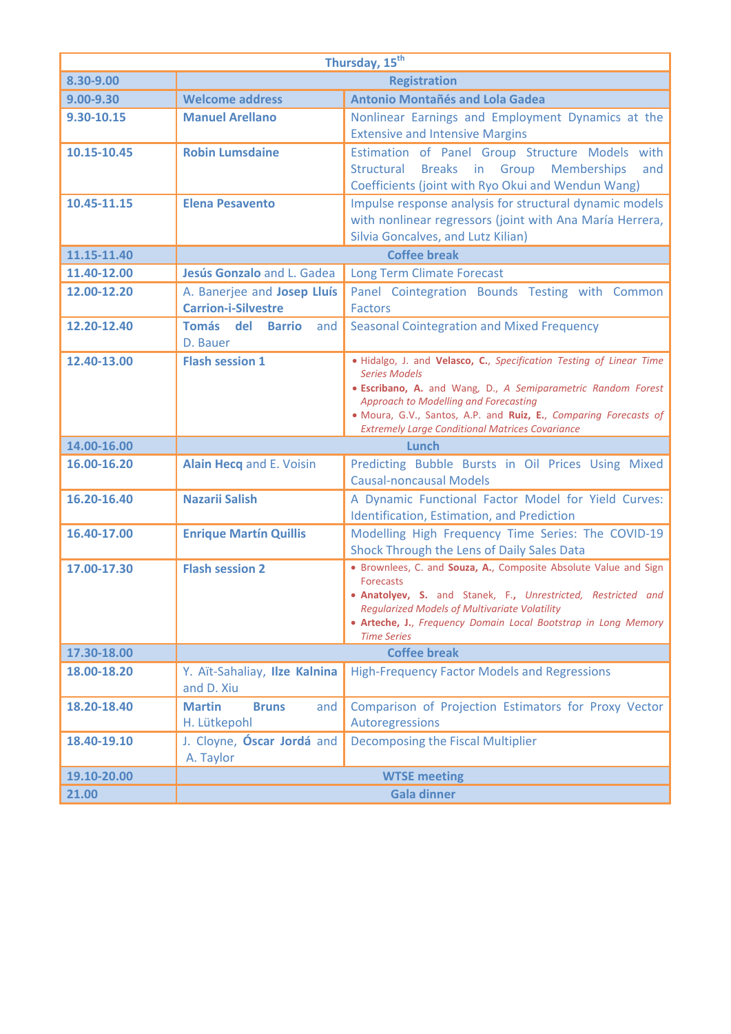| Thursday, 15 <sup>th</sup> |                                                           |                                                                                                                                                                                                                                                                                                                                    |  |
|----------------------------|-----------------------------------------------------------|------------------------------------------------------------------------------------------------------------------------------------------------------------------------------------------------------------------------------------------------------------------------------------------------------------------------------------|--|
| 8.30-9.00                  | <b>Registration</b>                                       |                                                                                                                                                                                                                                                                                                                                    |  |
| 9.00-9.30                  | <b>Welcome address</b>                                    | <b>Antonio Montañés and Lola Gadea</b>                                                                                                                                                                                                                                                                                             |  |
| 9.30-10.15                 | <b>Manuel Arellano</b>                                    | Nonlinear Earnings and Employment Dynamics at the<br><b>Extensive and Intensive Margins</b>                                                                                                                                                                                                                                        |  |
| 10.15-10.45                | <b>Robin Lumsdaine</b>                                    | Estimation of Panel Group Structure Models with<br>Breaks in Group<br><b>Memberships</b><br>Structural<br>and<br>Coefficients (joint with Ryo Okui and Wendun Wang)                                                                                                                                                                |  |
| 10.45-11.15                | <b>Elena Pesavento</b>                                    | Impulse response analysis for structural dynamic models<br>with nonlinear regressors (joint with Ana María Herrera,<br>Silvia Goncalves, and Lutz Kilian)                                                                                                                                                                          |  |
| 11.15-11.40                | <b>Coffee break</b>                                       |                                                                                                                                                                                                                                                                                                                                    |  |
| 11.40-12.00                | Jesús Gonzalo and L. Gadea                                | <b>Long Term Climate Forecast</b>                                                                                                                                                                                                                                                                                                  |  |
| 12.00-12.20                | A. Banerjee and Josep Lluís<br><b>Carrion-i-Silvestre</b> | Panel Cointegration Bounds Testing with Common<br><b>Factors</b>                                                                                                                                                                                                                                                                   |  |
| 12.20-12.40                | Tomás del Barrio<br>and<br>D. Bauer                       | <b>Seasonal Cointegration and Mixed Frequency</b>                                                                                                                                                                                                                                                                                  |  |
| 12.40-13.00                | <b>Flash session 1</b>                                    | . Hidalgo, J. and Velasco, C., Specification Testing of Linear Time<br><b>Series Models</b><br>• Escribano, A. and Wang, D., A Semiparametric Random Forest<br>Approach to Modelling and Forecasting<br>. Moura, G.V., Santos, A.P. and Ruiz, E., Comparing Forecasts of<br><b>Extremely Large Conditional Matrices Covariance</b> |  |
| 14.00-16.00                |                                                           | Lunch                                                                                                                                                                                                                                                                                                                              |  |
| 16.00-16.20                | Alain Hecq and E. Voisin                                  | Predicting Bubble Bursts in Oil Prices Using Mixed<br><b>Causal-noncausal Models</b>                                                                                                                                                                                                                                               |  |
| 16.20-16.40                | <b>Nazarii Salish</b>                                     | A Dynamic Functional Factor Model for Yield Curves:<br>Identification, Estimation, and Prediction                                                                                                                                                                                                                                  |  |
| 16.40-17.00                | <b>Enrique Martín Quillis</b>                             | Modelling High Frequency Time Series: The COVID-19<br>Shock Through the Lens of Daily Sales Data                                                                                                                                                                                                                                   |  |
| 17.00-17.30                | <b>Flash session 2</b>                                    | • Brownlees, C. and Souza, A., Composite Absolute Value and Sign<br><b>Forecasts</b><br>. Anatolyev, S. and Stanek, F., Unrestricted, Restricted and<br><b>Regularized Models of Multivariate Volatility</b><br>• Arteche, J., Frequency Domain Local Bootstrap in Long Memory<br><b>Time Series</b>                               |  |
| 17.30-18.00                | <b>Coffee break</b>                                       |                                                                                                                                                                                                                                                                                                                                    |  |
| 18.00-18.20                | Y. Aït-Sahaliay, Ilze Kalnina<br>and D. Xiu               | <b>High-Frequency Factor Models and Regressions</b>                                                                                                                                                                                                                                                                                |  |
| 18.20-18.40                | <b>Martin</b><br><b>Bruns</b><br>and<br>H. Lütkepohl      | Comparison of Projection Estimators for Proxy Vector<br>Autoregressions                                                                                                                                                                                                                                                            |  |
| 18.40-19.10                | J. Cloyne, <b>Óscar Jordá</b> and<br>A. Taylor            | Decomposing the Fiscal Multiplier                                                                                                                                                                                                                                                                                                  |  |
| 19.10-20.00                | <b>WTSE meeting</b>                                       |                                                                                                                                                                                                                                                                                                                                    |  |
| 21.00                      |                                                           | <b>Gala dinner</b>                                                                                                                                                                                                                                                                                                                 |  |